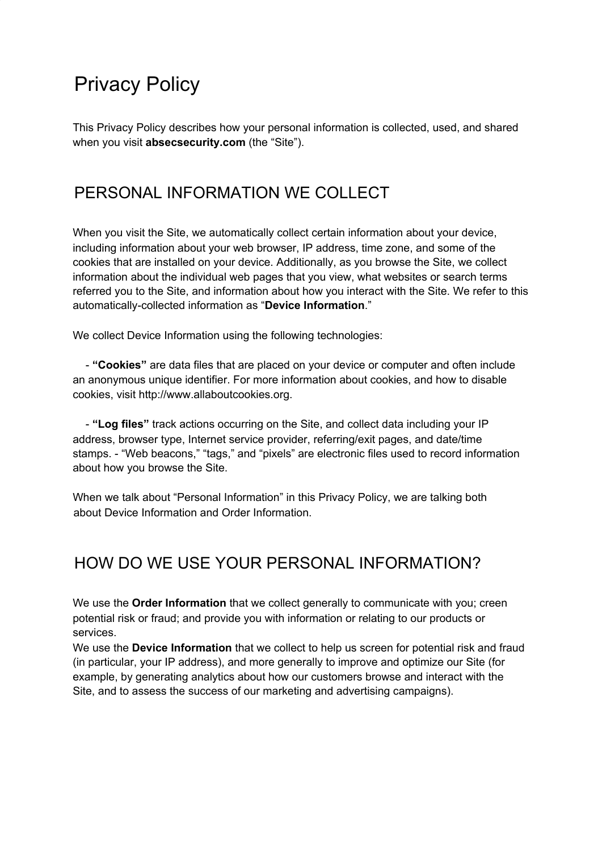# Privacy Policy

This Privacy Policy describes how your personal information is collected, used, and shared when you visit **absecsecurity.com** (the "Site").

### PERSONAL INFORMATION WE COLLECT

When you visit the Site, we automatically collect certain information about your device, including information about your web browser, IP address, time zone, and some of the cookies that are installed on your device. Additionally, as you browse the Site, we collect information about the individual web pages that you view, what websites or search terms referred you to the Site, and information about how you interact with the Site. We refer to this automatically-collected information as "**Device Information**."

We collect Device Information using the following technologies:

- **"Cookies"** are data files that are placed on your device or computer and often include an anonymous unique identifier. For more information about cookies, and how to disable cookies, visit http://www.allaboutcookies.org.

- **"Log files"** track actions occurring on the Site, and collect data including your IP address, browser type, Internet service provider, referring/exit pages, and date/time stamps. - "Web beacons," "tags," and "pixels" are electronic files used to record information about how you browse the Site.

When we talk about "Personal Information" in this Privacy Policy, we are talking both about Device Information and Order Information.

### HOW DO WE USE YOUR PERSONAL INFORMATION?

We use the **Order Information** that we collect generally to communicate with you; creen potential risk or fraud; and provide you with information or relating to our products or services.

We use the **Device Information** that we collect to help us screen for potential risk and fraud (in particular, your IP address), and more generally to improve and optimize our Site (for example, by generating analytics about how our customers browse and interact with the Site, and to assess the success of our marketing and advertising campaigns).